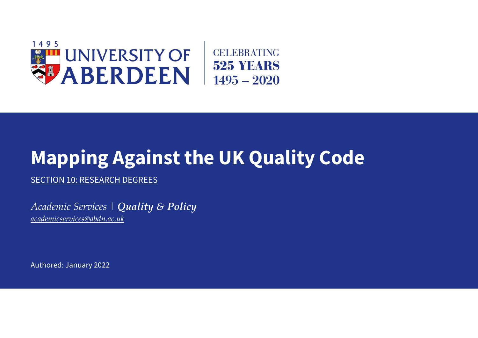

## **Mapping Against the UK Quality Code**

SECTION 10: RESEARCH DEGREES

*Academic Services | Quality & Policy [academicservices@abdn.ac.uk](mailto:academicservices@abdn.ac.uk)*

Authored: January 2022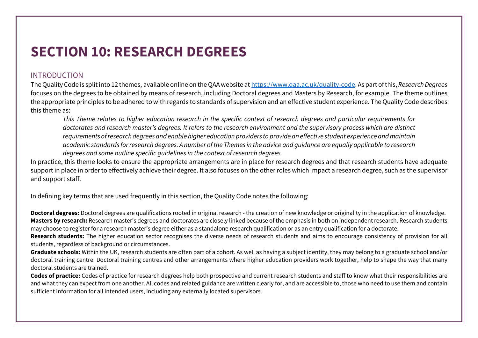## **SECTION 10: RESEARCH DEGREES**

## INTRODUCTION

The Quality Code is split into 12 themes, available online on the QAA website at [https://www.qaa.ac.uk/quality-code.](https://www.qaa.ac.uk/quality-code) As part of this, *Research Degrees* focuses on the degrees to be obtained by means of research, including Doctoral degrees and Masters by Research, for example. The theme outlines the appropriate principles to be adhered to with regards to standards of supervision and an effective student experience. The Quality Code describes this theme as:

*This Theme relates to higher education research in the specific context of research degrees and particular requirements for doctorates and research master's degrees. It refers to the research environment and the supervisory process which are distinct requirements of research degrees and enable higher education providers to provide an effective student experience and maintain academic standards for research degrees. A number of the Themes in the advice and guidance are equally applicable to research degrees and some outline specific guidelines in the context of research degrees.*

In practice, this theme looks to ensure the appropriate arrangements are in place for research degrees and that research students have adequate support in place in order to effectively achieve their degree. It also focuses on the other roles which impact a research degree, such as the supervisor and support staff.

In defining key terms that are used frequently in this section, the Quality Code notes the following:

**Doctoral degrees:** Doctoral degrees are qualifications rooted in original research - the creation of new knowledge or originality in the application of knowledge. **Masters by research:** Research master's degrees and doctorates are closely linked because of the emphasis in both on independent research. Research students may choose to register for a research master's degree either as a standalone research qualification or as an entry qualification for a doctorate.

**Research students:** The higher education sector recognises the diverse needs of research students and aims to encourage consistency of provision for all students, regardless of background or circumstances.

**Graduate schools:** Within the UK, research students are often part of a cohort. As well as having a subject identity, they may belong to a graduate school and/or doctoral training centre. Doctoral training centres and other arrangements where higher education providers work together, help to shape the way that many doctoral students are trained.

**Codes of practice:** Codes of practice for research degrees help both prospective and current research students and staff to know what their responsibilities are and what they can expect from one another. All codes and related guidance are written clearly for, and are accessible to, those who need to use them and contain sufficient information for all intended users, including any externally located supervisors.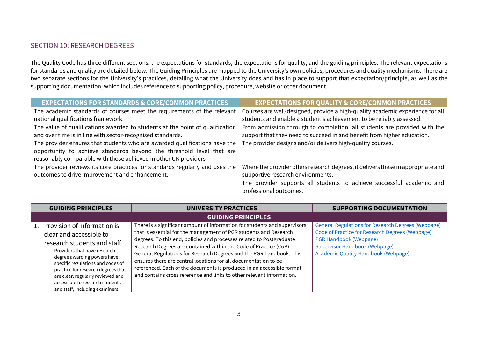## SECTION 10: RESEARCH DEGREES

The Quality Code has three different sections: the expectations for standards; the expectations for quality; and the guiding principles. The relevant expectations for standards and quality are detailed below. The Guiding Principles are mapped to the University's own policies, procedures and quality mechanisms. There are two separate sections for the University's practices, detailing what the University does and has in place to support that expectation/principle, as well as the supporting documentation, which includes reference to supporting policy, procedure, website or other document.

| <b>EXPECTATIONS FOR STANDARDS &amp; CORE/COMMON PRACTICES</b>                 | <b>EXPECTATIONS FOR QUALITY &amp; CORE/COMMON PRACTICES</b>                      |
|-------------------------------------------------------------------------------|----------------------------------------------------------------------------------|
| The academic standards of courses meet the requirements of the relevant       | Courses are well-designed, provide a high-quality academic experience for all    |
| national qualifications framework.                                            | students and enable a student's achievement to be reliably assessed.             |
| The value of qualifications awarded to students at the point of qualification | From admission through to completion, all students are provided with the         |
| and over time is in line with sector-recognised standards.                    | support that they need to succeed in and benefit from higher education.          |
| The provider ensures that students who are awarded qualifications have the    | The provider designs and/or delivers high-quality courses.                       |
| opportunity to achieve standards beyond the threshold level that are          |                                                                                  |
| reasonably comparable with those achieved in other UK providers               |                                                                                  |
| The provider reviews its core practices for standards regularly and uses the  | Where the provider offers research degrees, it delivers these in appropriate and |
| outcomes to drive improvement and enhancement.                                | supportive research environments.                                                |
|                                                                               | The provider supports all students to achieve successful academic and            |
|                                                                               | professional outcomes.                                                           |

| <b>GUIDING PRINCIPLES</b>                                                                                                                                                                                                                                                                                                                      | <b>UNIVERSITY PRACTICES</b>                                                                                                                                                                                                                                                                                                                                                                                                                                                                                                                                                             | <b>SUPPORTING DOCUMENTATION</b>                                                                                                                                                                                                     |
|------------------------------------------------------------------------------------------------------------------------------------------------------------------------------------------------------------------------------------------------------------------------------------------------------------------------------------------------|-----------------------------------------------------------------------------------------------------------------------------------------------------------------------------------------------------------------------------------------------------------------------------------------------------------------------------------------------------------------------------------------------------------------------------------------------------------------------------------------------------------------------------------------------------------------------------------------|-------------------------------------------------------------------------------------------------------------------------------------------------------------------------------------------------------------------------------------|
|                                                                                                                                                                                                                                                                                                                                                | <b>GUIDING PRINCIPLES</b>                                                                                                                                                                                                                                                                                                                                                                                                                                                                                                                                                               |                                                                                                                                                                                                                                     |
| 1. Provision of information is<br>clear and accessible to<br>research students and staff.<br>Providers that have research<br>degree awarding powers have<br>specific regulations and codes of<br>practice for research degrees that<br>are clear, regularly reviewed and<br>accessible to research students<br>and staff, including examiners. | There is a significant amount of information for students and supervisors<br>that is essential for the management of PGR students and Research<br>degrees. To this end, policies and processes related to Postgraduate<br>Research Degrees are contained within the Code of Practice (CoP),<br>General Regulations for Research Degrees and the PGR handbook. This<br>ensures there are central locations for all documentation to be<br>referenced. Each of the documents is produced in an accessible format<br>and contains cross reference and links to other relevant information. | <b>General Regulations for Research Degrees (Webpage)</b><br>Code of Practice for Research Degrees (Webpage)<br><b>PGR Handbook (Webpage)</b><br><b>Supervisor Handbook (Webpage)</b><br><b>Academic Quality Handbook (Webpage)</b> |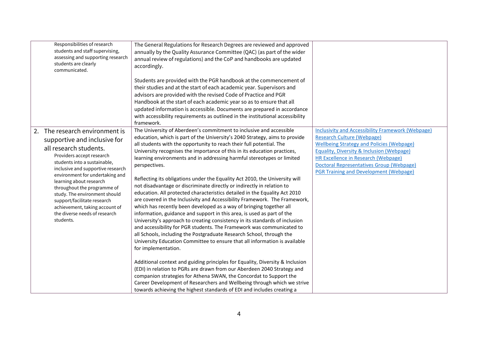| Responsibilities of research<br>students and staff supervising,<br>assessing and supporting research<br>students are clearly<br>communicated.                                                                                                                                                                                                                                                                                              | The General Regulations for Research Degrees are reviewed and approved<br>annually by the Quality Assurance Committee (QAC) (as part of the wider<br>annual review of regulations) and the CoP and handbooks are updated<br>accordingly.                                                                                                                                                                                                                                                                                                                                                                                                                                                                                                                                                                                                                                                                                                                                                                                                                                                                                                                                                                                                                                                                                                                                                                                                                                                                                  |                                                                                                                                                                                                                                                                                                                                                             |
|--------------------------------------------------------------------------------------------------------------------------------------------------------------------------------------------------------------------------------------------------------------------------------------------------------------------------------------------------------------------------------------------------------------------------------------------|---------------------------------------------------------------------------------------------------------------------------------------------------------------------------------------------------------------------------------------------------------------------------------------------------------------------------------------------------------------------------------------------------------------------------------------------------------------------------------------------------------------------------------------------------------------------------------------------------------------------------------------------------------------------------------------------------------------------------------------------------------------------------------------------------------------------------------------------------------------------------------------------------------------------------------------------------------------------------------------------------------------------------------------------------------------------------------------------------------------------------------------------------------------------------------------------------------------------------------------------------------------------------------------------------------------------------------------------------------------------------------------------------------------------------------------------------------------------------------------------------------------------------|-------------------------------------------------------------------------------------------------------------------------------------------------------------------------------------------------------------------------------------------------------------------------------------------------------------------------------------------------------------|
|                                                                                                                                                                                                                                                                                                                                                                                                                                            | Students are provided with the PGR handbook at the commencement of<br>their studies and at the start of each academic year. Supervisors and<br>advisors are provided with the revised Code of Practice and PGR<br>Handbook at the start of each academic year so as to ensure that all<br>updated information is accessible. Documents are prepared in accordance<br>with accessibility requirements as outlined in the institutional accessibility<br>framework.                                                                                                                                                                                                                                                                                                                                                                                                                                                                                                                                                                                                                                                                                                                                                                                                                                                                                                                                                                                                                                                         |                                                                                                                                                                                                                                                                                                                                                             |
| The research environment is<br>2.<br>supportive and inclusive for<br>all research students.<br>Providers accept research<br>students into a sustainable,<br>inclusive and supportive research<br>environment for undertaking and<br>learning about research<br>throughout the programme of<br>study. The environment should<br>support/facilitate research<br>achievement, taking account of<br>the diverse needs of research<br>students. | The University of Aberdeen's commitment to inclusive and accessible<br>education, which is part of the University's 2040 Strategy, aims to provide<br>all students with the opportunity to reach their full potential. The<br>University recognises the importance of this in its education practices,<br>learning environments and in addressing harmful stereotypes or limited<br>perspectives.<br>Reflecting its obligations under the Equality Act 2010, the University will<br>not disadvantage or discriminate directly or indirectly in relation to<br>education. All protected characteristics detailed in the Equality Act 2010<br>are covered in the Inclusivity and Accessibility Framework. The Framework,<br>which has recently been developed as a way of bringing together all<br>information, guidance and support in this area, is used as part of the<br>University's approach to creating consistency in its standards of inclusion<br>and accessibility for PGR students. The Framework was communicated to<br>all Schools, including the Postgraduate Research School, through the<br>University Education Committee to ensure that all information is available<br>for implementation.<br>Additional context and guiding principles for Equality, Diversity & Inclusion<br>(EDI) in relation to PGRs are drawn from our Aberdeen 2040 Strategy and<br>companion strategies for Athena SWAN, the Concordat to Support the<br>Career Development of Researchers and Wellbeing through which we strive | <b>Inclusivity and Accessibility Framework (Webpage)</b><br><b>Research Culture (Webpage)</b><br><b>Wellbeing Strategy and Policies (Webpage)</b><br><b>Equality, Diversity &amp; Inclusion (Webpage)</b><br><b>HR Excellence in Research (Webpage)</b><br><b>Doctoral Representatives Group (Webpage)</b><br><b>PGR Training and Development (Webpage)</b> |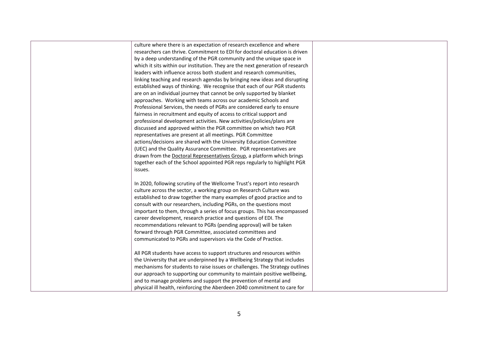culture where there is an expectation of research excellence and where researchers can thrive. Commitment to EDI for doctoral education is driven by a deep understanding of the PGR community and the unique space in which it sits within our institution. They are the next generation of research leaders with influence across both student and research communities, linking teaching and research agendas by bringing new ideas and disrupting established ways of thinking. We recognise that each of our PGR students are on an individual journey that cannot be only supported by blanket approaches. Working with teams across our academic Schools and Professional Services, the needs of PGRs are considered early to ensure fairness in recruitment and equity of access to critical support and professional development activities. New activities/policies/plans are discussed and approved within the PGR committee on which two PGR representatives are present at all meetings. PGR Committee actions/decisions are shared with the University Education Committee (UEC) and the Quality Assurance Committee. PGR representatives are drawn from th[e Doctoral Representatives Group,](https://www.abdn.ac.uk/pgrs/pgr-handbook/pgr-representatives-ausa-380.php) a platform which brings together each of the School appointed PGR reps regularly to highlight PGR issues.

In 2020, following scrutiny of the Wellcome Trust's report into research culture across the sector, a working group on Research Culture was established to draw together the many examples of good practice and to consult with our researchers, including PGRs, on the questions most important to them, through a series of focus groups. This has encompassed career development, research practice and questions of EDI. The recommendations relevant to PGRs (pending approval) will be taken forward through PGR Committee, associated committees and communicated to PGRs and supervisors via the Code of Practice.

All PGR students have access to support structures and resources within the University that are underpinned by a Wellbeing Strategy that includes mechanisms for students to raise issues or challenges. The Strategy outlines our approach to supporting our community to maintain positive wellbeing, and to manage problems and support the prevention of mental and physical ill health, reinforcing the Aberdeen 2040 commitment to care for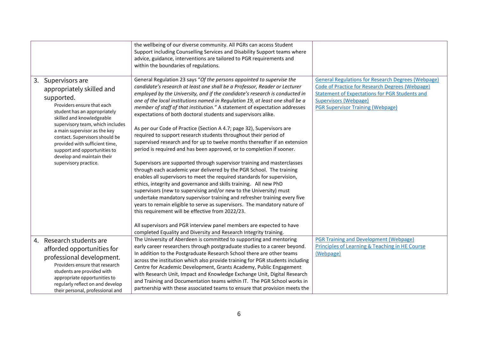|    |                                                                                                                                                                                                                                                                                                                                                                                      | the wellbeing of our diverse community. All PGRs can access Student<br>Support including Counselling Services and Disability Support teams where<br>advice, guidance, interventions are tailored to PGR requirements and<br>within the boundaries of regulations.                                                                                                                                                                                                                                                                                                                                                                                                                                                                                                                                                                                                                                                                                                                                                                                                                                                                                                                                                                                                                                                                                             |                                                                                                                                                                                                                                                          |
|----|--------------------------------------------------------------------------------------------------------------------------------------------------------------------------------------------------------------------------------------------------------------------------------------------------------------------------------------------------------------------------------------|---------------------------------------------------------------------------------------------------------------------------------------------------------------------------------------------------------------------------------------------------------------------------------------------------------------------------------------------------------------------------------------------------------------------------------------------------------------------------------------------------------------------------------------------------------------------------------------------------------------------------------------------------------------------------------------------------------------------------------------------------------------------------------------------------------------------------------------------------------------------------------------------------------------------------------------------------------------------------------------------------------------------------------------------------------------------------------------------------------------------------------------------------------------------------------------------------------------------------------------------------------------------------------------------------------------------------------------------------------------|----------------------------------------------------------------------------------------------------------------------------------------------------------------------------------------------------------------------------------------------------------|
| 3. | Supervisors are<br>appropriately skilled and<br>supported.<br>Providers ensure that each<br>student has an appropriately<br>skilled and knowledgeable<br>supervisory team, which includes<br>a main supervisor as the key<br>contact. Supervisors should be<br>provided with sufficient time,<br>support and opportunities to<br>develop and maintain their<br>supervisory practice. | General Regulation 23 says "Of the persons appointed to supervise the<br>candidate's research at least one shall be a Professor, Reader or Lecturer<br>employed by the University, and if the candidate's research is conducted in<br>one of the local institutions named in Regulation 19, at least one shall be a<br>member of staff of that institution." A statement of expectation addresses<br>expectations of both doctoral students and supervisors alike.<br>As per our Code of Practice (Section A 4.7; page 32), Supervisors are<br>required to support research students throughout their period of<br>supervised research and for up to twelve months thereafter if an extension<br>period is required and has been approved, or to completion if sooner.<br>Supervisors are supported through supervisor training and masterclasses<br>through each academic year delivered by the PGR School. The training<br>enables all supervisors to meet the required standards for supervision,<br>ethics, integrity and governance and skills training. All new PhD<br>supervisors (new to supervising and/or new to the University) must<br>undertake mandatory supervisor training and refresher training every five<br>years to remain eligible to serve as supervisors. The mandatory nature of<br>this requirement will be effective from 2022/23. | <b>General Regulations for Research Degrees (Webpage)</b><br><b>Code of Practice for Research Degrees (Webpage)</b><br><b>Statement of Expectations for PGR Students and</b><br><b>Supervisors (Webpage)</b><br><b>PGR Supervisor Training (Webpage)</b> |
|    | 4. Research students are<br>afforded opportunities for<br>professional development.<br>Providers ensure that research<br>students are provided with<br>appropriate opportunities to<br>regularly reflect on and develop<br>their personal, professional and                                                                                                                          | All supervisors and PGR interview panel members are expected to have<br>completed Equality and Diversity and Research Integrity training.<br>The University of Aberdeen is committed to supporting and mentoring<br>early career researchers through postgraduate studies to a career beyond.<br>In addition to the Postgraduate Research School there are other teams<br>across the institution which also provide training for PGR students including<br>Centre for Academic Development, Grants Academy, Public Engagement<br>with Research Unit, Impact and Knowledge Exchange Unit, Digital Research<br>and Training and Documentation teams within IT. The PGR School works in<br>partnership with these associated teams to ensure that provision meets the                                                                                                                                                                                                                                                                                                                                                                                                                                                                                                                                                                                            | <b>PGR Training and Development (Webpage)</b><br>Principles of Learning & Teaching in HE Course<br>(Webpage)                                                                                                                                             |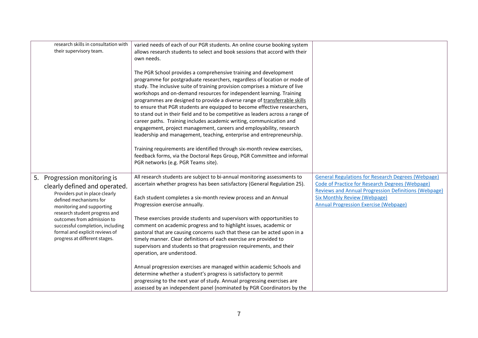| research skills in consultation with<br>their supervisory team. | varied needs of each of our PGR students. An online course booking system<br>allows research students to select and book sessions that accord with their  |                                                                                     |
|-----------------------------------------------------------------|-----------------------------------------------------------------------------------------------------------------------------------------------------------|-------------------------------------------------------------------------------------|
|                                                                 | own needs.                                                                                                                                                |                                                                                     |
|                                                                 | The PGR School provides a comprehensive training and development                                                                                          |                                                                                     |
|                                                                 | programme for postgraduate researchers, regardless of location or mode of<br>study. The inclusive suite of training provision comprises a mixture of live |                                                                                     |
|                                                                 | workshops and on-demand resources for independent learning. Training                                                                                      |                                                                                     |
|                                                                 | programmes are designed to provide a diverse range of transferrable skills<br>to ensure that PGR students are equipped to become effective researchers,   |                                                                                     |
|                                                                 | to stand out in their field and to be competitive as leaders across a range of                                                                            |                                                                                     |
|                                                                 | career paths. Training includes academic writing, communication and                                                                                       |                                                                                     |
|                                                                 | engagement, project management, careers and employability, research<br>leadership and management, teaching, enterprise and entrepreneurship.              |                                                                                     |
|                                                                 |                                                                                                                                                           |                                                                                     |
|                                                                 | Training requirements are identified through six-month review exercises,<br>feedback forms, via the Doctoral Reps Group, PGR Committee and informal       |                                                                                     |
|                                                                 | PGR networks (e.g. PGR Teams site).                                                                                                                       |                                                                                     |
|                                                                 | All research students are subject to bi-annual monitoring assessments to                                                                                  | <b>General Regulations for Research Degrees (Webpage)</b>                           |
| 5. Progression monitoring is<br>clearly defined and operated.   | ascertain whether progress has been satisfactory (General Regulation 25).                                                                                 | Code of Practice for Research Degrees (Webpage)                                     |
| Providers put in place clearly                                  |                                                                                                                                                           | Reviews and Annual Progression Definitions (Webpage)                                |
| defined mechanisms for<br>monitoring and supporting             | Each student completes a six-month review process and an Annual<br>Progression exercise annually.                                                         | <b>Six Monthly Review (Webpage)</b><br><b>Annual Progression Exercise (Webpage)</b> |
| research student progress and                                   |                                                                                                                                                           |                                                                                     |
| outcomes from admission to<br>successful completion, including  | These exercises provide students and supervisors with opportunities to<br>comment on academic progress and to highlight issues, academic or               |                                                                                     |
| formal and explicit reviews of                                  | pastoral that are causing concerns such that these can be acted upon in a                                                                                 |                                                                                     |
| progress at different stages.                                   | timely manner. Clear definitions of each exercise are provided to                                                                                         |                                                                                     |
|                                                                 | supervisors and students so that progression requirements, and their<br>operation, are understood.                                                        |                                                                                     |
|                                                                 | Annual progression exercises are managed within academic Schools and                                                                                      |                                                                                     |
|                                                                 | determine whether a student's progress is satisfactory to permit                                                                                          |                                                                                     |
|                                                                 | progressing to the next year of study. Annual progressing exercises are<br>assessed by an independent panel (nominated by PGR Coordinators by the         |                                                                                     |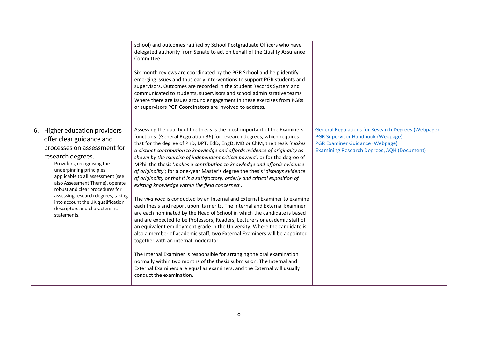|                                                                                                                                                                                                                                                                                                                                                                                                               | school) and outcomes ratified by School Postgraduate Officers who have<br>delegated authority from Senate to act on behalf of the Quality Assurance<br>Committee.<br>Six-month reviews are coordinated by the PGR School and help identify<br>emerging issues and thus early interventions to support PGR students and<br>supervisors. Outcomes are recorded in the Student Records System and<br>communicated to students, supervisors and school administrative teams<br>Where there are issues around engagement in these exercises from PGRs<br>or supervisors PGR Coordinators are involved to address.                                                                                                                                                                                                                                                                                                                                                                                                                                                                                                                                                                                                                                                                                                                                                                                                                                                                          |                                                                                                                                                                                                      |
|---------------------------------------------------------------------------------------------------------------------------------------------------------------------------------------------------------------------------------------------------------------------------------------------------------------------------------------------------------------------------------------------------------------|---------------------------------------------------------------------------------------------------------------------------------------------------------------------------------------------------------------------------------------------------------------------------------------------------------------------------------------------------------------------------------------------------------------------------------------------------------------------------------------------------------------------------------------------------------------------------------------------------------------------------------------------------------------------------------------------------------------------------------------------------------------------------------------------------------------------------------------------------------------------------------------------------------------------------------------------------------------------------------------------------------------------------------------------------------------------------------------------------------------------------------------------------------------------------------------------------------------------------------------------------------------------------------------------------------------------------------------------------------------------------------------------------------------------------------------------------------------------------------------|------------------------------------------------------------------------------------------------------------------------------------------------------------------------------------------------------|
| 6. Higher education providers<br>offer clear guidance and<br>processes on assessment for<br>research degrees.<br>Providers, recognising the<br>underpinning principles<br>applicable to all assessment (see<br>also Assessment Theme), operate<br>robust and clear procedures for<br>assessing research degrees, taking<br>into account the UK qualification<br>descriptors and characteristic<br>statements. | Assessing the quality of the thesis is the most important of the Examiners'<br>functions (General Regulation 36) for research degrees, which requires<br>that for the degree of PhD, DPT, EdD, EngD, MD or ChM, the thesis 'makes<br>a distinct contribution to knowledge and affords evidence of originality as<br>shown by the exercise of independent critical powers'; or for the degree of<br>MPhil the thesis 'makes a contribution to knowledge and affords evidence<br>of originality'; for a one-year Master's degree the thesis 'displays evidence<br>of originality or that it is a satisfactory, orderly and critical exposition of<br>existing knowledge within the field concerned'.<br>The viva voce is conducted by an Internal and External Examiner to examine<br>each thesis and report upon its merits. The Internal and External Examiner<br>are each nominated by the Head of School in which the candidate is based<br>and are expected to be Professors, Readers, Lecturers or academic staff of<br>an equivalent employment grade in the University. Where the candidate is<br>also a member of academic staff, two External Examiners will be appointed<br>together with an internal moderator.<br>The Internal Examiner is responsible for arranging the oral examination<br>normally within two months of the thesis submission. The Internal and<br>External Examiners are equal as examiners, and the External will usually<br>conduct the examination. | <b>General Regulations for Research Degrees (Webpage)</b><br><b>PGR Supervisor Handbook (Webpage)</b><br><b>PGR Examiner Guidance (Webpage)</b><br><b>Examining Research Degrees, AOH (Document)</b> |